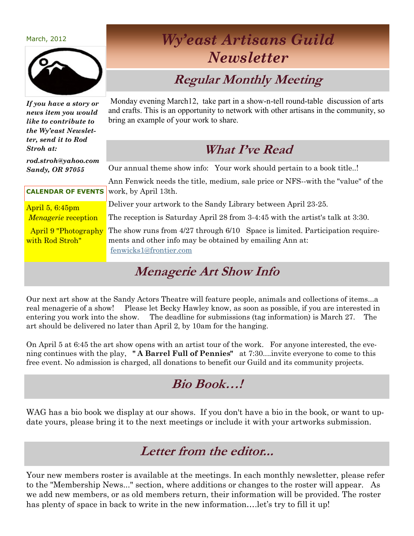| March. |  |
|--------|--|
|        |  |



## *Wy'east Artisans Guild Newsletter*

## **Regular Monthly Meeting**

*If you have a story or news item you would like to contribute to the Wy'east Newsletter, send it to Rod Stroh at:*

*rod.stroh@yahoo.com Sandy, OR 97055*

Monday evening March12, take part in a show-n-tell round-table discussion of arts and crafts. This is an opportunity to network with other artisans in the community, so bring an example of your work to share.

### **What I've Read**

Our annual theme show info: Your work should pertain to a book title..!

**CALENDAR OF EVENTS** Ann Fenwick needs the title, medium, sale price or NFS--with the "value" of the work, by April 13th.

April 5, 6:45pm *Menagerie* reception

April 9 "Photography with Rod Stroh"

Deliver your artwork to the Sandy Library between April 23-25.

The reception is Saturday April 28 from 3-4:45 with the artist's talk at 3:30.

The show runs from 4/27 through 6/10 Space is limited. Participation requirements and other info may be obtained by emailing Ann at: [fenwicks1@frontier.com](mailto:fenwicks1@frontier.com)

## **Menagerie Art Show Info**

Our next art show at the Sandy Actors Theatre will feature people, animals and collections of items...a real menagerie of a show! Please let Becky Hawley know, as soon as possible, if you are interested in entering you work into the show. The deadline for submissions (tag information) is March 27. The art should be delivered no later than April 2, by 10am for the hanging.

On April 5 at 6:45 the art show opens with an artist tour of the work. For anyone interested, the evening continues with the play, **" A Barrel Full of Pennies"** at 7:30....invite everyone to come to this free event. No admission is charged, all donations to benefit our Guild and its community projects.

### **Bio Book…!**

WAG has a bio book we display at our shows. If you don't have a bio in the book, or want to update yours, please bring it to the next meetings or include it with your artworks submission.

#### **Letter from the editor...**

Your new members roster is available at the meetings. In each monthly newsletter, please refer to the "Membership News..." section, where additions or changes to the roster will appear. As we add new members, or as old members return, their information will be provided. The roster has plenty of space in back to write in the new information….let's try to fill it up!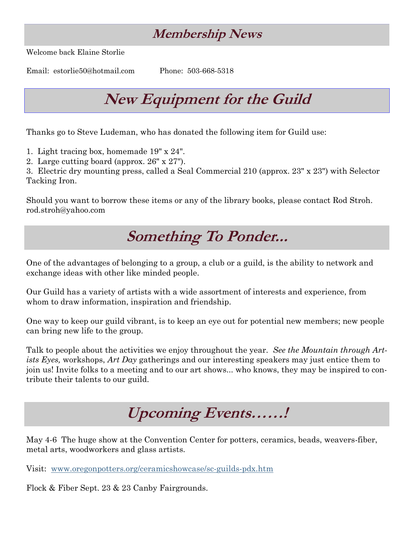## **Membership News**

Welcome back Elaine Storlie

Email: estorlie50@hotmail.com Phone: 503-668-5318

## **New Equipment for the Guild**

Thanks go to Steve Ludeman, who has donated the following item for Guild use:

1. Light tracing box, homemade 19" x 24".

2. Large cutting board (approx. 26" x 27").

3. Electric dry mounting press, called a Seal Commercial 210 (approx. 23" x 23") with Selector Tacking Iron.

Should you want to borrow these items or any of the library books, please contact Rod Stroh. rod.stroh@yahoo.com

## **Something To Ponder...**

One of the advantages of belonging to a group, a club or a guild, is the ability to network and exchange ideas with other like minded people.

Our Guild has a variety of artists with a wide assortment of interests and experience, from whom to draw information, inspiration and friendship.

One way to keep our guild vibrant, is to keep an eye out for potential new members; new people can bring new life to the group.

Talk to people about the activities we enjoy throughout the year. *See the Mountain through Artists Eyes,* workshops, *Art Day* gatherings and our interesting speakers may just entice them to join us! Invite folks to a meeting and to our art shows... who knows, they may be inspired to contribute their talents to our guild.

# **Upcoming Events……!**

May 4-6 The huge show at the Convention Center for potters, ceramics, beads, weavers-fiber, metal arts, woodworkers and glass artists.

Visit: [www.oregonpotters.org/ceramicshowcase/sc-guilds-pdx.htm](http://www.oregonpotters.org/ceramicshowcase/sc-guilds-pdx.htm)

Flock & Fiber Sept. 23 & 23 Canby Fairgrounds.